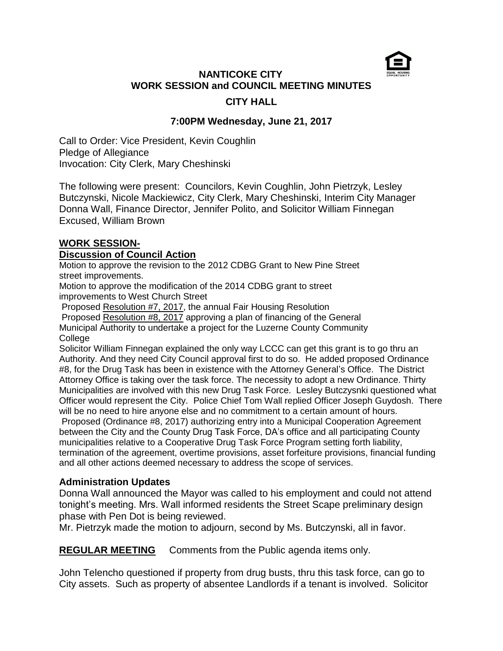

# **NANTICOKE CITY WORK SESSION and COUNCIL MEETING MINUTES CITY HALL**

## **7:00PM Wednesday, June 21, 2017**

Call to Order: Vice President, Kevin Coughlin Pledge of Allegiance Invocation: City Clerk, Mary Cheshinski

The following were present: Councilors, Kevin Coughlin, John Pietrzyk, Lesley Butczynski, Nicole Mackiewicz, City Clerk, Mary Cheshinski, Interim City Manager Donna Wall, Finance Director, Jennifer Polito, and Solicitor William Finnegan Excused, William Brown

## **WORK SESSION-**

### **Discussion of Council Action**

Motion to approve the revision to the 2012 CDBG Grant to New Pine Street street improvements.

Motion to approve the modification of the 2014 CDBG grant to street improvements to West Church Street

Proposed Resolution #7, 2017, the annual Fair Housing Resolution Proposed Resolution #8, 2017 approving a plan of financing of the General Municipal Authority to undertake a project for the Luzerne County Community **College** 

Solicitor William Finnegan explained the only way LCCC can get this grant is to go thru an Authority. And they need City Council approval first to do so. He added proposed Ordinance #8, for the Drug Task has been in existence with the Attorney General's Office. The District Attorney Office is taking over the task force. The necessity to adopt a new Ordinance. Thirty Municipalities are involved with this new Drug Task Force. Lesley Butczysnki questioned what Officer would represent the City. Police Chief Tom Wall replied Officer Joseph Guydosh. There will be no need to hire anyone else and no commitment to a certain amount of hours. Proposed (Ordinance #8, 2017) authorizing entry into a Municipal Cooperation Agreement between the City and the County Drug Task Force, DA's office and all participating County municipalities relative to a Cooperative Drug Task Force Program setting forth liability, termination of the agreement, overtime provisions, asset forfeiture provisions, financial funding and all other actions deemed necessary to address the scope of services.

### **Administration Updates**

Donna Wall announced the Mayor was called to his employment and could not attend tonight's meeting. Mrs. Wall informed residents the Street Scape preliminary design phase with Pen Dot is being reviewed.

Mr. Pietrzyk made the motion to adjourn, second by Ms. Butczynski, all in favor.

**REGULAR MEETING** Comments from the Public agenda items only.

John Telencho questioned if property from drug busts, thru this task force, can go to City assets. Such as property of absentee Landlords if a tenant is involved. Solicitor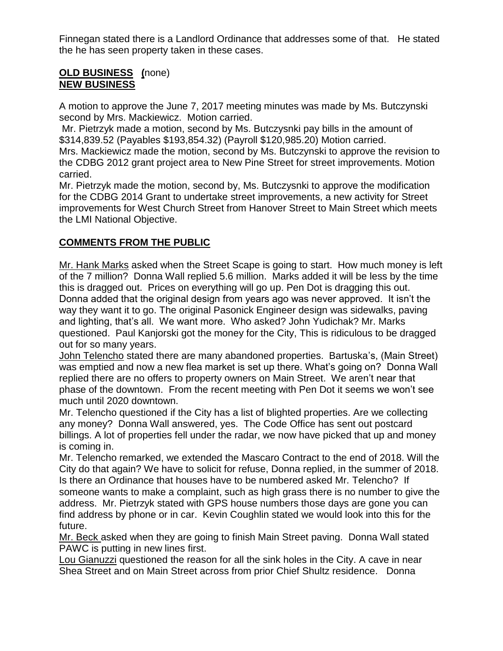Finnegan stated there is a Landlord Ordinance that addresses some of that. He stated the he has seen property taken in these cases.

### **OLD BUSINESS (**none) **NEW BUSINESS**

A motion to approve the June 7, 2017 meeting minutes was made by Ms. Butczynski second by Mrs. Mackiewicz. Motion carried.

Mr. Pietrzyk made a motion, second by Ms. Butczysnki pay bills in the amount of \$314,839.52 (Payables \$193,854.32) (Payroll \$120,985.20) Motion carried. Mrs. Mackiewicz made the motion, second by Ms. Butczynski to approve the revision to the CDBG 2012 grant project area to New Pine Street for street improvements. Motion carried.

Mr. Pietrzyk made the motion, second by, Ms. Butczysnki to approve the modification for the CDBG 2014 Grant to undertake street improvements, a new activity for Street improvements for West Church Street from Hanover Street to Main Street which meets the LMI National Objective.

# **COMMENTS FROM THE PUBLIC**

Mr. Hank Marks asked when the Street Scape is going to start. How much money is left of the 7 million? Donna Wall replied 5.6 million. Marks added it will be less by the time this is dragged out. Prices on everything will go up. Pen Dot is dragging this out. Donna added that the original design from years ago was never approved. It isn't the way they want it to go. The original Pasonick Engineer design was sidewalks, paving and lighting, that's all. We want more. Who asked? John Yudichak? Mr. Marks questioned. Paul Kanjorski got the money for the City, This is ridiculous to be dragged out for so many years.

John Telencho stated there are many abandoned properties. Bartuska's, (Main Street) was emptied and now a new flea market is set up there. What's going on? Donna Wall replied there are no offers to property owners on Main Street. We aren't near that phase of the downtown. From the recent meeting with Pen Dot it seems we won't see much until 2020 downtown.

Mr. Telencho questioned if the City has a list of blighted properties. Are we collecting any money? Donna Wall answered, yes. The Code Office has sent out postcard billings. A lot of properties fell under the radar, we now have picked that up and money is coming in.

Mr. Telencho remarked, we extended the Mascaro Contract to the end of 2018. Will the City do that again? We have to solicit for refuse, Donna replied, in the summer of 2018. Is there an Ordinance that houses have to be numbered asked Mr. Telencho? If someone wants to make a complaint, such as high grass there is no number to give the address. Mr. Pietrzyk stated with GPS house numbers those days are gone you can find address by phone or in car. Kevin Coughlin stated we would look into this for the future.

Mr. Beck asked when they are going to finish Main Street paving. Donna Wall stated PAWC is putting in new lines first.

Lou Gianuzzi questioned the reason for all the sink holes in the City. A cave in near Shea Street and on Main Street across from prior Chief Shultz residence. Donna